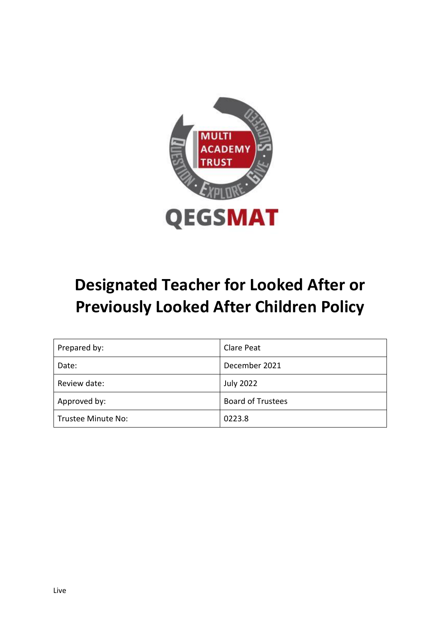

# **Designated Teacher for Looked After or Previously Looked After Children Policy**

| Prepared by:       | <b>Clare Peat</b>        |
|--------------------|--------------------------|
| Date:              | December 2021            |
| Review date:       | <b>July 2022</b>         |
| Approved by:       | <b>Board of Trustees</b> |
| Trustee Minute No: | 0223.8                   |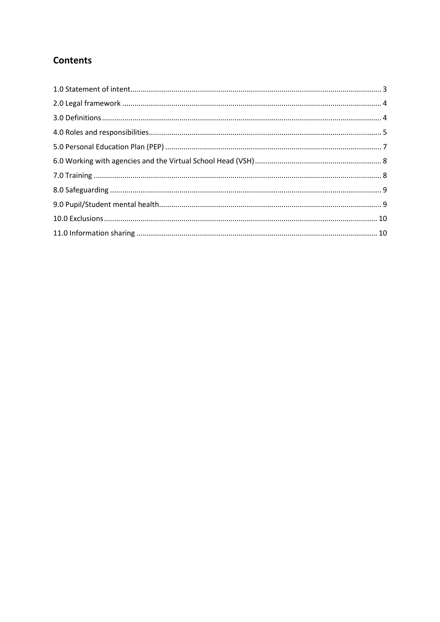# **Contents**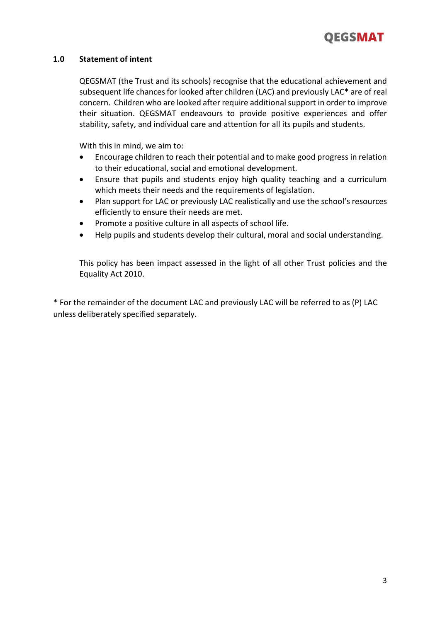

# **1.0 Statement of intent**

QEGSMAT (the Trust and its schools) recognise that the educational achievement and subsequent life chances for looked after children (LAC) and previously LAC\* are of real concern. Children who are looked after require additional support in order to improve their situation. QEGSMAT endeavours to provide positive experiences and offer stability, safety, and individual care and attention for all its pupils and students.

With this in mind, we aim to:

- Encourage children to reach their potential and to make good progress in relation to their educational, social and emotional development.
- Ensure that pupils and students enjoy high quality teaching and a curriculum which meets their needs and the requirements of legislation.
- Plan support for LAC or previously LAC realistically and use the school's resources efficiently to ensure their needs are met.
- Promote a positive culture in all aspects of school life.
- Help pupils and students develop their cultural, moral and social understanding.

This policy has been impact assessed in the light of all other Trust policies and the Equality Act 2010.

\* For the remainder of the document LAC and previously LAC will be referred to as (P) LAC unless deliberately specified separately.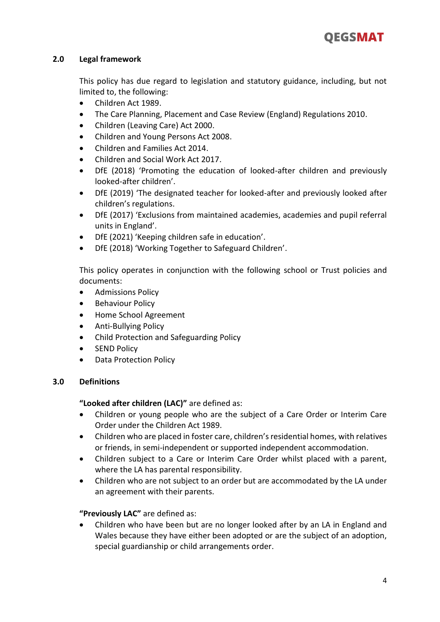# **2.0 Legal framework**

This policy has due regard to legislation and statutory guidance, including, but not limited to, the following:

- Children Act 1989.
- The Care Planning, Placement and Case Review (England) Regulations 2010.
- Children (Leaving Care) Act 2000.
- Children and Young Persons Act 2008.
- Children and Families Act 2014.
- Children and Social Work Act 2017.
- DfE (2018) 'Promoting the education of looked-after children and previously looked-after children'.
- DfE (2019) 'The designated teacher for looked-after and previously looked after children's regulations.
- DfE (2017) 'Exclusions from maintained academies, academies and pupil referral units in England'.
- DfE (2021) 'Keeping children safe in education'.
- DfE (2018) 'Working Together to Safeguard Children'.

This policy operates in conjunction with the following school or Trust policies and documents:

- Admissions Policy
- **•** Behaviour Policy
- Home School Agreement
- Anti-Bullying Policy
- Child Protection and Safeguarding Policy
- SEND Policy
- Data Protection Policy

#### **3.0 Definitions**

**"Looked after children (LAC)"** are defined as:

- Children or young people who are the subject of a Care Order or Interim Care Order under the Children Act 1989.
- Children who are placed in foster care, children's residential homes, with relatives or friends, in semi-independent or supported independent accommodation.
- Children subject to a Care or Interim Care Order whilst placed with a parent, where the LA has parental responsibility.
- Children who are not subject to an order but are accommodated by the LA under an agreement with their parents.

# **"Previously LAC"** are defined as:

 Children who have been but are no longer looked after by an LA in England and Wales because they have either been adopted or are the subject of an adoption, special guardianship or child arrangements order.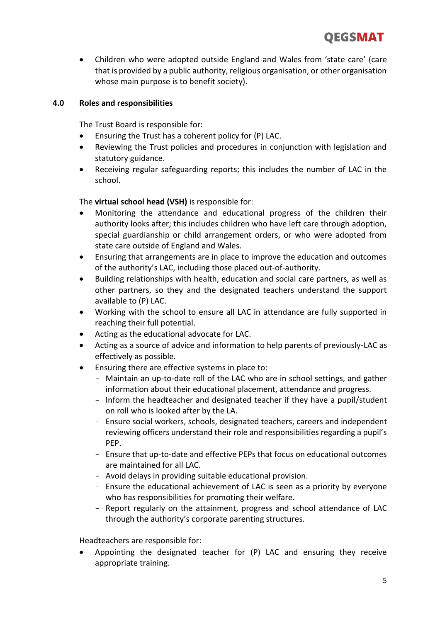Children who were adopted outside England and Wales from 'state care' (care that is provided by a public authority, religious organisation, or other organisation whose main purpose is to benefit society).

# **4.0 Roles and responsibilities**

The Trust Board is responsible for:

- Ensuring the Trust has a coherent policy for (P) LAC.
- Reviewing the Trust policies and procedures in conjunction with legislation and statutory guidance.
- Receiving regular safeguarding reports; this includes the number of LAC in the school.

The **virtual school head (VSH)** is responsible for:

- Monitoring the attendance and educational progress of the children their authority looks after; this includes children who have left care through adoption, special guardianship or child arrangement orders, or who were adopted from state care outside of England and Wales.
- Ensuring that arrangements are in place to improve the education and outcomes of the authority's LAC, including those placed out-of-authority.
- Building relationships with health, education and social care partners, as well as other partners, so they and the designated teachers understand the support available to (P) LAC.
- Working with the school to ensure all LAC in attendance are fully supported in reaching their full potential.
- Acting as the educational advocate for LAC.
- Acting as a source of advice and information to help parents of previously-LAC as effectively as possible.
- Ensuring there are effective systems in place to:
	- Maintain an up-to-date roll of the LAC who are in school settings, and gather information about their educational placement, attendance and progress.
	- Inform the headteacher and designated teacher if they have a pupil/student on roll who is looked after by the LA.
	- Ensure social workers, schools, designated teachers, careers and independent reviewing officers understand their role and responsibilities regarding a pupil's PEP.
	- Ensure that up-to-date and effective PEPs that focus on educational outcomes are maintained for all LAC.
	- Avoid delays in providing suitable educational provision.
	- Ensure the educational achievement of LAC is seen as a priority by everyone who has responsibilities for promoting their welfare.
	- Report regularly on the attainment, progress and school attendance of LAC through the authority's corporate parenting structures.

Headteachers are responsible for:

 Appointing the designated teacher for (P) LAC and ensuring they receive appropriate training.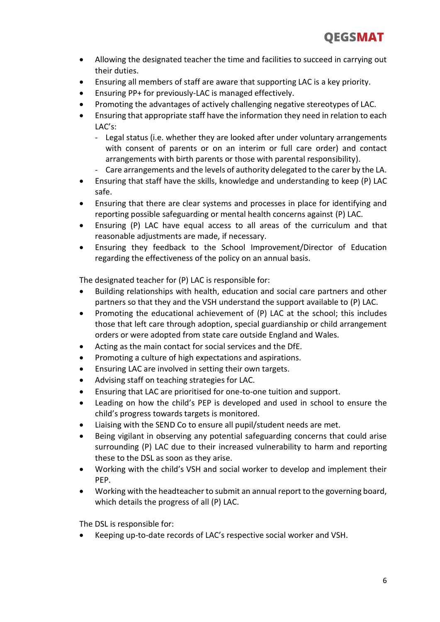- Allowing the designated teacher the time and facilities to succeed in carrying out their duties.
- Ensuring all members of staff are aware that supporting LAC is a key priority.
- Ensuring PP+ for previously-LAC is managed effectively.
- Promoting the advantages of actively challenging negative stereotypes of LAC.
- Ensuring that appropriate staff have the information they need in relation to each LAC's:
	- Legal status (i.e. whether they are looked after under voluntary arrangements with consent of parents or on an interim or full care order) and contact arrangements with birth parents or those with parental responsibility).
	- Care arrangements and the levels of authority delegated to the carer by the LA.
- Ensuring that staff have the skills, knowledge and understanding to keep (P) LAC safe.
- Ensuring that there are clear systems and processes in place for identifying and reporting possible safeguarding or mental health concerns against (P) LAC.
- Ensuring (P) LAC have equal access to all areas of the curriculum and that reasonable adjustments are made, if necessary.
- Ensuring they feedback to the School Improvement/Director of Education regarding the effectiveness of the policy on an annual basis.

The designated teacher for (P) LAC is responsible for:

- Building relationships with health, education and social care partners and other partners so that they and the VSH understand the support available to (P) LAC.
- Promoting the educational achievement of (P) LAC at the school; this includes those that left care through adoption, special guardianship or child arrangement orders or were adopted from state care outside England and Wales.
- Acting as the main contact for social services and the DfE.
- Promoting a culture of high expectations and aspirations.
- Ensuring LAC are involved in setting their own targets.
- Advising staff on teaching strategies for LAC.
- Ensuring that LAC are prioritised for one-to-one tuition and support.
- Leading on how the child's PEP is developed and used in school to ensure the child's progress towards targets is monitored.
- Liaising with the SEND Co to ensure all pupil/student needs are met.
- Being vigilant in observing any potential safeguarding concerns that could arise surrounding (P) LAC due to their increased vulnerability to harm and reporting these to the DSL as soon as they arise.
- Working with the child's VSH and social worker to develop and implement their PEP.
- Working with the headteacher to submit an annual report to the governing board, which details the progress of all (P) LAC.

The DSL is responsible for:

Keeping up-to-date records of LAC's respective social worker and VSH.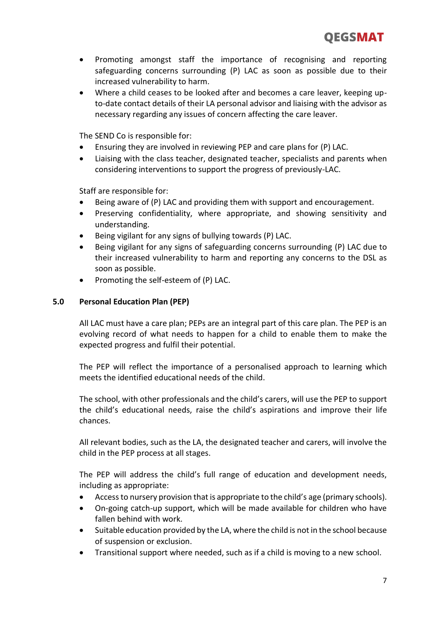- Promoting amongst staff the importance of recognising and reporting safeguarding concerns surrounding (P) LAC as soon as possible due to their increased vulnerability to harm.
- Where a child ceases to be looked after and becomes a care leaver, keeping upto-date contact details of their LA personal advisor and liaising with the advisor as necessary regarding any issues of concern affecting the care leaver.

The SEND Co is responsible for:

- Ensuring they are involved in reviewing PEP and care plans for (P) LAC.
- Liaising with the class teacher, designated teacher, specialists and parents when considering interventions to support the progress of previously-LAC.

Staff are responsible for:

- Being aware of (P) LAC and providing them with support and encouragement.
- Preserving confidentiality, where appropriate, and showing sensitivity and understanding.
- Being vigilant for any signs of bullying towards (P) LAC.
- Being vigilant for any signs of safeguarding concerns surrounding (P) LAC due to their increased vulnerability to harm and reporting any concerns to the DSL as soon as possible.
- Promoting the self-esteem of (P) LAC.

#### **5.0 Personal Education Plan (PEP)**

All LAC must have a care plan; PEPs are an integral part of this care plan. The PEP is an evolving record of what needs to happen for a child to enable them to make the expected progress and fulfil their potential.

The PEP will reflect the importance of a personalised approach to learning which meets the identified educational needs of the child.

The school, with other professionals and the child's carers, will use the PEP to support the child's educational needs, raise the child's aspirations and improve their life chances.

All relevant bodies, such as the LA, the designated teacher and carers, will involve the child in the PEP process at all stages.

The PEP will address the child's full range of education and development needs, including as appropriate:

- Access to nursery provision that is appropriate to the child's age (primary schools).
- On-going catch-up support, which will be made available for children who have fallen behind with work.
- Suitable education provided by the LA, where the child is not in the school because of suspension or exclusion.
- Transitional support where needed, such as if a child is moving to a new school.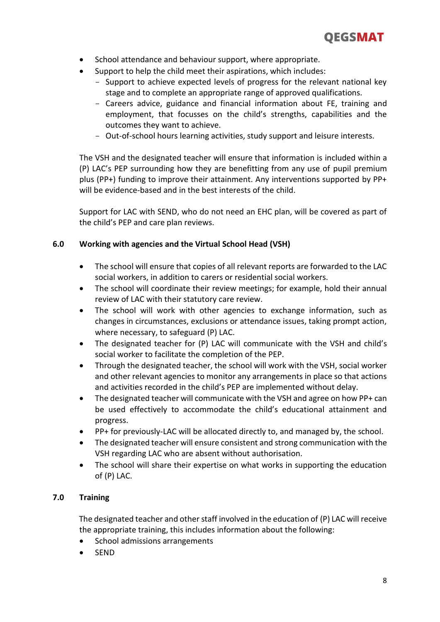

- School attendance and behaviour support, where appropriate.
- Support to help the child meet their aspirations, which includes:
	- Support to achieve expected levels of progress for the relevant national key stage and to complete an appropriate range of approved qualifications.
	- Careers advice, guidance and financial information about FE, training and employment, that focusses on the child's strengths, capabilities and the outcomes they want to achieve.
	- Out-of-school hours learning activities, study support and leisure interests.

The VSH and the designated teacher will ensure that information is included within a (P) LAC's PEP surrounding how they are benefitting from any use of pupil premium plus (PP+) funding to improve their attainment. Any interventions supported by PP+ will be evidence-based and in the best interests of the child.

Support for LAC with SEND, who do not need an EHC plan, will be covered as part of the child's PEP and care plan reviews.

# **6.0 Working with agencies and the Virtual School Head (VSH)**

- The school will ensure that copies of all relevant reports are forwarded to the LAC social workers, in addition to carers or residential social workers.
- The school will coordinate their review meetings; for example, hold their annual review of LAC with their statutory care review.
- The school will work with other agencies to exchange information, such as changes in circumstances, exclusions or attendance issues, taking prompt action, where necessary, to safeguard (P) LAC.
- The designated teacher for (P) LAC will communicate with the VSH and child's social worker to facilitate the completion of the PEP.
- Through the designated teacher, the school will work with the VSH, social worker and other relevant agencies to monitor any arrangements in place so that actions and activities recorded in the child's PEP are implemented without delay.
- The designated teacher will communicate with the VSH and agree on how PP+ can be used effectively to accommodate the child's educational attainment and progress.
- PP+ for previously-LAC will be allocated directly to, and managed by, the school.
- The designated teacher will ensure consistent and strong communication with the VSH regarding LAC who are absent without authorisation.
- The school will share their expertise on what works in supporting the education of (P) LAC.

#### **7.0 Training**

The designated teacher and other staff involved in the education of (P) LAC will receive the appropriate training, this includes information about the following:

- School admissions arrangements
- SEND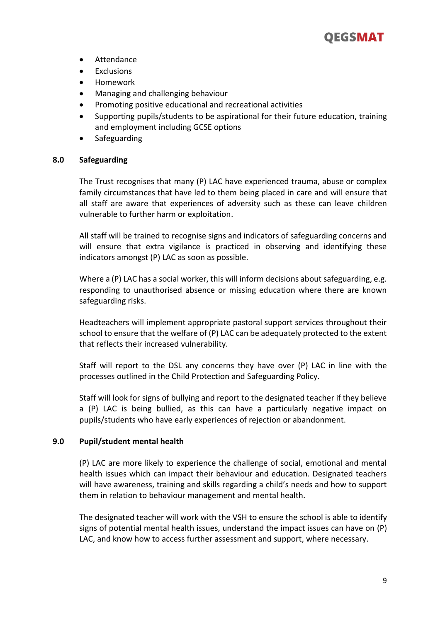

- Attendance
- **Exclusions**
- Homework
- Managing and challenging behaviour
- Promoting positive educational and recreational activities
- Supporting pupils/students to be aspirational for their future education, training and employment including GCSE options
- Safeguarding

#### **8.0 Safeguarding**

The Trust recognises that many (P) LAC have experienced trauma, abuse or complex family circumstances that have led to them being placed in care and will ensure that all staff are aware that experiences of adversity such as these can leave children vulnerable to further harm or exploitation.

All staff will be trained to recognise signs and indicators of safeguarding concerns and will ensure that extra vigilance is practiced in observing and identifying these indicators amongst (P) LAC as soon as possible.

Where a (P) LAC has a social worker, this will inform decisions about safeguarding, e.g. responding to unauthorised absence or missing education where there are known safeguarding risks.

Headteachers will implement appropriate pastoral support services throughout their school to ensure that the welfare of (P) LAC can be adequately protected to the extent that reflects their increased vulnerability.

Staff will report to the DSL any concerns they have over (P) LAC in line with the processes outlined in the Child Protection and Safeguarding Policy.

Staff will look for signs of bullying and report to the designated teacher if they believe a (P) LAC is being bullied, as this can have a particularly negative impact on pupils/students who have early experiences of rejection or abandonment.

#### **9.0 Pupil/student mental health**

(P) LAC are more likely to experience the challenge of social, emotional and mental health issues which can impact their behaviour and education. Designated teachers will have awareness, training and skills regarding a child's needs and how to support them in relation to behaviour management and mental health.

The designated teacher will work with the VSH to ensure the school is able to identify signs of potential mental health issues, understand the impact issues can have on (P) LAC, and know how to access further assessment and support, where necessary.